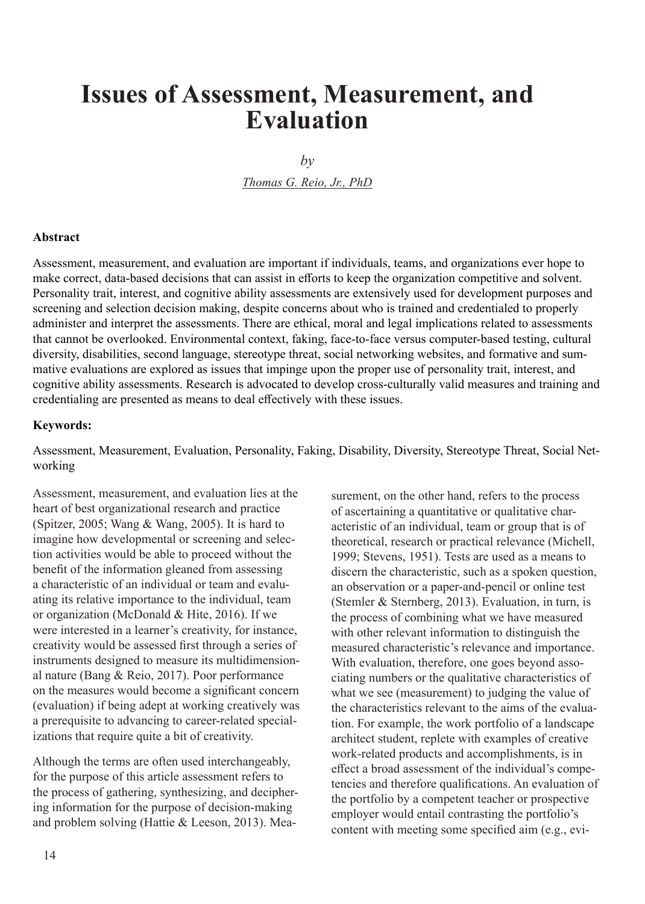# **Issues of Assessment, Measurement, and Evaluation**

 $b\nu$ 

*Thomas G. Reio, Jr., PhD*

#### **Abstract**

Assessment, measurement, and evaluation are important if individuals, teams, and organizations ever hope to make correct, data-based decisions that can assist in efforts to keep the organization competitive and solvent. Personality trait, interest, and cognitive ability assessments are extensively used for development purposes and screening and selection decision making, despite concerns about who is trained and credentialed to properly administer and interpret the assessments. There are ethical, moral and legal implications related to assessments that cannot be overlooked. Environmental context, faking, face-to-face versus computer-based testing, cultural diversity, disabilities, second language, stereotype threat, social networking websites, and formative and summative evaluations are explored as issues that impinge upon the proper use of personality trait, interest, and cognitive ability assessments. Research is advocated to develop cross-culturally valid measures and training and credentialing are presented as means to deal effectively with these issues.

#### **Keywords:**

Assessment, Measurement, Evaluation, Personality, Faking, Disability, Diversity, Stereotype Threat, Social Networking

Assessment, measurement, and evaluation lies at the heart of best organizational research and practice (Spitzer, 2005; Wang & Wang, 2005). It is hard to imagine how developmental or screening and selection activities would be able to proceed without the benefit of the information gleaned from assessing a characteristic of an individual or team and evaluating its relative importance to the individual, team or organization (McDonald & Hite, 2016). If we were interested in a learner's creativity, for instance, creativity would be assessed first through a series of instruments designed to measure its multidimensional nature (Bang & Reio, 2017). Poor performance on the measures would become a significant concern (evaluation) if being adept at working creatively was a prerequisite to advancing to career-related specializations that require quite a bit of creativity.

Although the terms are often used interchangeably, for the purpose of this article assessment refers to the process of gathering, synthesizing, and deciphering information for the purpose of decision-making and problem solving (Hattie & Leeson, 2013). Measurement, on the other hand, refers to the process of ascertaining a quantitative or qualitative characteristic of an individual, team or group that is of theoretical, research or practical relevance (Michell, 1999; Stevens, 1951). Tests are used as a means to discern the characteristic, such as a spoken question, an observation or a paper-and-pencil or online test (Stemler & Sternberg, 2013). Evaluation, in turn, is the process of combining what we have measured with other relevant information to distinguish the measured characteristic's relevance and importance. With evaluation, therefore, one goes beyond associating numbers or the qualitative characteristics of what we see (measurement) to judging the value of the characteristics relevant to the aims of the evaluation. For example, the work portfolio of a landscape architect student, replete with examples of creative work-related products and accomplishments, is in effect a broad assessment of the individual's competencies and therefore qualifications. An evaluation of the portfolio by a competent teacher or prospective employer would entail contrasting the portfolio's content with meeting some specified aim (e.g., evi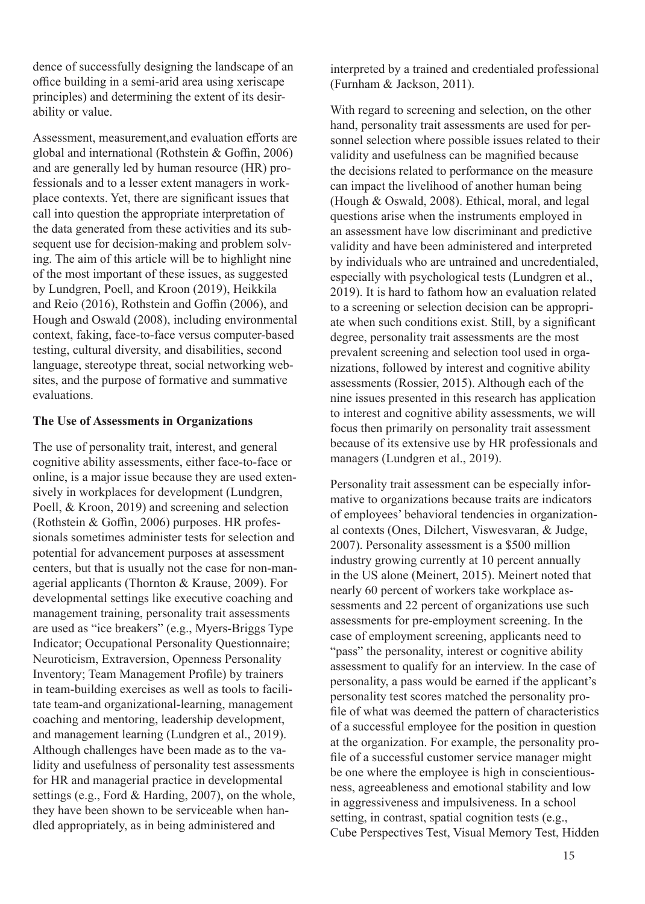dence of successfully designing the landscape of an office building in a semi-arid area using xeriscape principles) and determining the extent of its desirability or value.

Assessment, measurement,and evaluation efforts are global and international (Rothstein & Goffin, 2006) and are generally led by human resource (HR) professionals and to a lesser extent managers in workplace contexts. Yet, there are significant issues that call into question the appropriate interpretation of the data generated from these activities and its subsequent use for decision-making and problem solving. The aim of this article will be to highlight nine of the most important of these issues, as suggested by Lundgren, Poell, and Kroon (2019), Heikkila and Reio (2016), Rothstein and Goffin (2006), and Hough and Oswald (2008), including environmental context, faking, face-to-face versus computer-based testing, cultural diversity, and disabilities, second language, stereotype threat, social networking websites, and the purpose of formative and summative evaluations.

#### **The Use of Assessments in Organizations**

The use of personality trait, interest, and general cognitive ability assessments, either face-to-face or online, is a major issue because they are used extensively in workplaces for development (Lundgren, Poell, & Kroon, 2019) and screening and selection (Rothstein & Goffin, 2006) purposes. HR professionals sometimes administer tests for selection and potential for advancement purposes at assessment centers, but that is usually not the case for non-managerial applicants (Thornton & Krause, 2009). For developmental settings like executive coaching and management training, personality trait assessments are used as "ice breakers" (e.g., Myers-Briggs Type Indicator; Occupational Personality Questionnaire; Neuroticism, Extraversion, Openness Personality Inventory; Team Management Profile) by trainers in team-building exercises as well as tools to facilitate team-and organizational-learning, management coaching and mentoring, leadership development, and management learning (Lundgren et al., 2019). Although challenges have been made as to the validity and usefulness of personality test assessments for HR and managerial practice in developmental settings (e.g., Ford & Harding, 2007), on the whole, they have been shown to be serviceable when handled appropriately, as in being administered and

interpreted by a trained and credentialed professional (Furnham & Jackson, 2011).

With regard to screening and selection, on the other hand, personality trait assessments are used for personnel selection where possible issues related to their validity and usefulness can be magnified because the decisions related to performance on the measure can impact the livelihood of another human being (Hough & Oswald, 2008). Ethical, moral, and legal questions arise when the instruments employed in an assessment have low discriminant and predictive validity and have been administered and interpreted by individuals who are untrained and uncredentialed, especially with psychological tests (Lundgren et al., 2019). It is hard to fathom how an evaluation related to a screening or selection decision can be appropriate when such conditions exist. Still, by a significant degree, personality trait assessments are the most prevalent screening and selection tool used in organizations, followed by interest and cognitive ability assessments (Rossier, 2015). Although each of the nine issues presented in this research has application to interest and cognitive ability assessments, we will focus then primarily on personality trait assessment because of its extensive use by HR professionals and managers (Lundgren et al., 2019).

Personality trait assessment can be especially informative to organizations because traits are indicators of employees' behavioral tendencies in organizational contexts (Ones, Dilchert, Viswesvaran, & Judge, 2007). Personality assessment is a \$500 million industry growing currently at 10 percent annually in the US alone (Meinert, 2015). Meinert noted that nearly 60 percent of workers take workplace assessments and 22 percent of organizations use such assessments for pre-employment screening. In the case of employment screening, applicants need to "pass" the personality, interest or cognitive ability assessment to qualify for an interview. In the case of personality, a pass would be earned if the applicant's personality test scores matched the personality profile of what was deemed the pattern of characteristics of a successful employee for the position in question at the organization. For example, the personality profile of a successful customer service manager might be one where the employee is high in conscientiousness, agreeableness and emotional stability and low in aggressiveness and impulsiveness. In a school setting, in contrast, spatial cognition tests (e.g., Cube Perspectives Test, Visual Memory Test, Hidden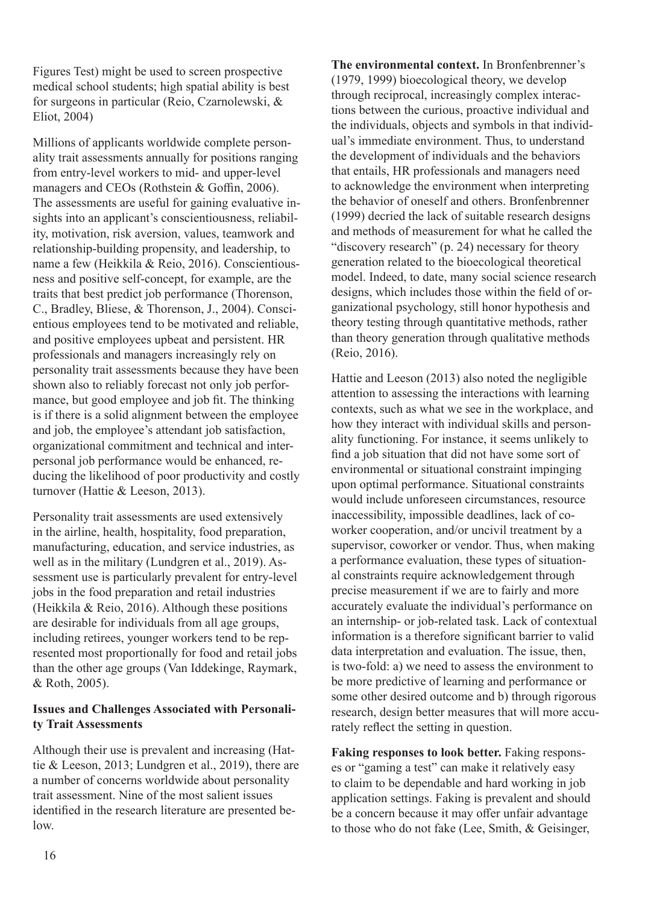Figures Test) might be used to screen prospective medical school students; high spatial ability is best for surgeons in particular (Reio, Czarnolewski, & Eliot, 2004)

Millions of applicants worldwide complete personality trait assessments annually for positions ranging from entry-level workers to mid- and upper-level managers and CEOs (Rothstein & Goffin, 2006). The assessments are useful for gaining evaluative insights into an applicant's conscientiousness, reliability, motivation, risk aversion, values, teamwork and relationship-building propensity, and leadership, to name a few (Heikkila & Reio, 2016). Conscientiousness and positive self-concept, for example, are the traits that best predict job performance (Thorenson, C., Bradley, Bliese, & Thorenson, J., 2004). Conscientious employees tend to be motivated and reliable, and positive employees upbeat and persistent. HR professionals and managers increasingly rely on personality trait assessments because they have been shown also to reliably forecast not only job performance, but good employee and job fit. The thinking is if there is a solid alignment between the employee and job, the employee's attendant job satisfaction, organizational commitment and technical and interpersonal job performance would be enhanced, reducing the likelihood of poor productivity and costly turnover (Hattie & Leeson, 2013).

Personality trait assessments are used extensively in the airline, health, hospitality, food preparation, manufacturing, education, and service industries, as well as in the military (Lundgren et al., 2019). Assessment use is particularly prevalent for entry-level jobs in the food preparation and retail industries (Heikkila & Reio, 2016). Although these positions are desirable for individuals from all age groups, including retirees, younger workers tend to be represented most proportionally for food and retail jobs than the other age groups (Van Iddekinge, Raymark, & Roth, 2005).

## **Issues and Challenges Associated with Personality Trait Assessments**

Although their use is prevalent and increasing (Hattie & Leeson, 2013; Lundgren et al., 2019), there are a number of concerns worldwide about personality trait assessment. Nine of the most salient issues identified in the research literature are presented below.

**The environmental context.** In Bronfenbrenner's (1979, 1999) bioecological theory, we develop through reciprocal, increasingly complex interactions between the curious, proactive individual and the individuals, objects and symbols in that individual's immediate environment. Thus, to understand the development of individuals and the behaviors that entails, HR professionals and managers need to acknowledge the environment when interpreting the behavior of oneself and others. Bronfenbrenner (1999) decried the lack of suitable research designs and methods of measurement for what he called the "discovery research" (p. 24) necessary for theory generation related to the bioecological theoretical model. Indeed, to date, many social science research designs, which includes those within the field of organizational psychology, still honor hypothesis and theory testing through quantitative methods, rather than theory generation through qualitative methods (Reio, 2016).

Hattie and Leeson (2013) also noted the negligible attention to assessing the interactions with learning contexts, such as what we see in the workplace, and how they interact with individual skills and personality functioning. For instance, it seems unlikely to find a job situation that did not have some sort of environmental or situational constraint impinging upon optimal performance. Situational constraints would include unforeseen circumstances, resource inaccessibility, impossible deadlines, lack of coworker cooperation, and/or uncivil treatment by a supervisor, coworker or vendor. Thus, when making a performance evaluation, these types of situational constraints require acknowledgement through precise measurement if we are to fairly and more accurately evaluate the individual's performance on an internship- or job-related task. Lack of contextual information is a therefore significant barrier to valid data interpretation and evaluation. The issue, then, is two-fold: a) we need to assess the environment to be more predictive of learning and performance or some other desired outcome and b) through rigorous research, design better measures that will more accurately reflect the setting in question.

**Faking responses to look better.** Faking responses or "gaming a test" can make it relatively easy to claim to be dependable and hard working in job application settings. Faking is prevalent and should be a concern because it may offer unfair advantage to those who do not fake (Lee, Smith, & Geisinger,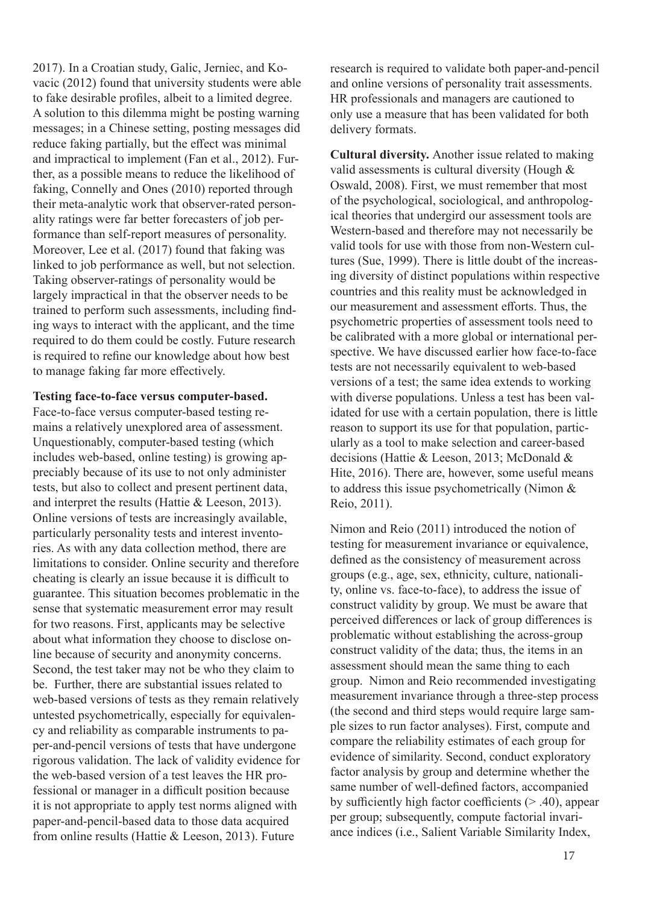2017). In a Croatian study, Galic, Jerniec, and Kovacic (2012) found that university students were able to fake desirable profiles, albeit to a limited degree. A solution to this dilemma might be posting warning messages; in a Chinese setting, posting messages did reduce faking partially, but the effect was minimal and impractical to implement (Fan et al., 2012). Further, as a possible means to reduce the likelihood of faking, Connelly and Ones (2010) reported through their meta-analytic work that observer-rated personality ratings were far better forecasters of job performance than self-report measures of personality. Moreover, Lee et al. (2017) found that faking was linked to job performance as well, but not selection. Taking observer-ratings of personality would be largely impractical in that the observer needs to be trained to perform such assessments, including finding ways to interact with the applicant, and the time required to do them could be costly. Future research is required to refine our knowledge about how best to manage faking far more effectively.

**Testing face-to-face versus computer-based.**

Face-to-face versus computer-based testing remains a relatively unexplored area of assessment. Unquestionably, computer-based testing (which includes web-based, online testing) is growing appreciably because of its use to not only administer tests, but also to collect and present pertinent data, and interpret the results (Hattie & Leeson, 2013). Online versions of tests are increasingly available, particularly personality tests and interest inventories. As with any data collection method, there are limitations to consider. Online security and therefore cheating is clearly an issue because it is difficult to guarantee. This situation becomes problematic in the sense that systematic measurement error may result for two reasons. First, applicants may be selective about what information they choose to disclose online because of security and anonymity concerns. Second, the test taker may not be who they claim to be. Further, there are substantial issues related to web-based versions of tests as they remain relatively untested psychometrically, especially for equivalency and reliability as comparable instruments to paper-and-pencil versions of tests that have undergone rigorous validation. The lack of validity evidence for the web-based version of a test leaves the HR professional or manager in a difficult position because it is not appropriate to apply test norms aligned with paper-and-pencil-based data to those data acquired from online results (Hattie & Leeson, 2013). Future

research is required to validate both paper-and-pencil and online versions of personality trait assessments. HR professionals and managers are cautioned to only use a measure that has been validated for both delivery formats.

**Cultural diversity.** Another issue related to making valid assessments is cultural diversity (Hough & Oswald, 2008). First, we must remember that most of the psychological, sociological, and anthropological theories that undergird our assessment tools are Western-based and therefore may not necessarily be valid tools for use with those from non-Western cultures (Sue, 1999). There is little doubt of the increasing diversity of distinct populations within respective countries and this reality must be acknowledged in our measurement and assessment efforts. Thus, the psychometric properties of assessment tools need to be calibrated with a more global or international perspective. We have discussed earlier how face-to-face tests are not necessarily equivalent to web-based versions of a test; the same idea extends to working with diverse populations. Unless a test has been validated for use with a certain population, there is little reason to support its use for that population, particularly as a tool to make selection and career-based decisions (Hattie & Leeson, 2013; McDonald & Hite, 2016). There are, however, some useful means to address this issue psychometrically (Nimon & Reio, 2011).

Nimon and Reio (2011) introduced the notion of testing for measurement invariance or equivalence, defined as the consistency of measurement across groups (e.g., age, sex, ethnicity, culture, nationality, online vs. face-to-face), to address the issue of construct validity by group. We must be aware that perceived differences or lack of group differences is problematic without establishing the across-group construct validity of the data; thus, the items in an assessment should mean the same thing to each group. Nimon and Reio recommended investigating measurement invariance through a three-step process (the second and third steps would require large sample sizes to run factor analyses). First, compute and compare the reliability estimates of each group for evidence of similarity. Second, conduct exploratory factor analysis by group and determine whether the same number of well-defined factors, accompanied by sufficiently high factor coefficients  $(> .40)$ , appear per group; subsequently, compute factorial invariance indices (i.e., Salient Variable Similarity Index,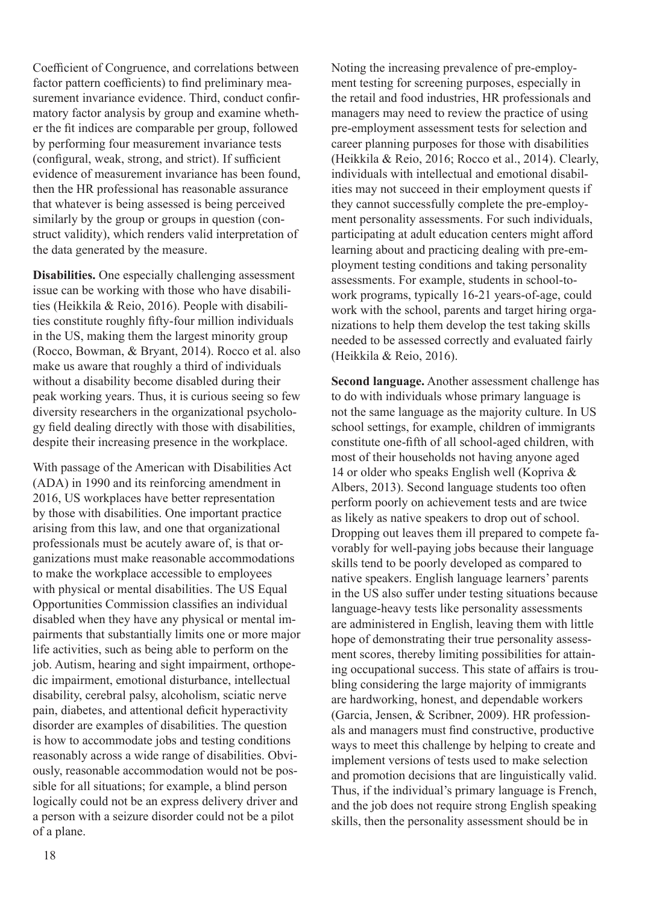Coefficient of Congruence, and correlations between factor pattern coefficients) to find preliminary measurement invariance evidence. Third, conduct confirmatory factor analysis by group and examine whether the fit indices are comparable per group, followed by performing four measurement invariance tests (configural, weak, strong, and strict). If sufficient evidence of measurement invariance has been found, then the HR professional has reasonable assurance that whatever is being assessed is being perceived similarly by the group or groups in question (construct validity), which renders valid interpretation of the data generated by the measure.

**Disabilities.** One especially challenging assessment issue can be working with those who have disabilities (Heikkila & Reio, 2016). People with disabilities constitute roughly fifty-four million individuals in the US, making them the largest minority group (Rocco, Bowman, & Bryant, 2014). Rocco et al. also make us aware that roughly a third of individuals without a disability become disabled during their peak working years. Thus, it is curious seeing so few diversity researchers in the organizational psychology field dealing directly with those with disabilities, despite their increasing presence in the workplace.

With passage of the American with Disabilities Act (ADA) in 1990 and its reinforcing amendment in 2016, US workplaces have better representation by those with disabilities. One important practice arising from this law, and one that organizational professionals must be acutely aware of, is that organizations must make reasonable accommodations to make the workplace accessible to employees with physical or mental disabilities. The US Equal Opportunities Commission classifies an individual disabled when they have any physical or mental impairments that substantially limits one or more major life activities, such as being able to perform on the job. Autism, hearing and sight impairment, orthopedic impairment, emotional disturbance, intellectual disability, cerebral palsy, alcoholism, sciatic nerve pain, diabetes, and attentional deficit hyperactivity disorder are examples of disabilities. The question is how to accommodate jobs and testing conditions reasonably across a wide range of disabilities. Obviously, reasonable accommodation would not be possible for all situations; for example, a blind person logically could not be an express delivery driver and a person with a seizure disorder could not be a pilot of a plane.

Noting the increasing prevalence of pre-employment testing for screening purposes, especially in the retail and food industries, HR professionals and managers may need to review the practice of using pre-employment assessment tests for selection and career planning purposes for those with disabilities (Heikkila & Reio, 2016; Rocco et al., 2014). Clearly, individuals with intellectual and emotional disabilities may not succeed in their employment quests if they cannot successfully complete the pre-employment personality assessments. For such individuals, participating at adult education centers might afford learning about and practicing dealing with pre-employment testing conditions and taking personality assessments. For example, students in school-towork programs, typically 16-21 years-of-age, could work with the school, parents and target hiring organizations to help them develop the test taking skills needed to be assessed correctly and evaluated fairly (Heikkila & Reio, 2016).

**Second language.** Another assessment challenge has to do with individuals whose primary language is not the same language as the majority culture. In US school settings, for example, children of immigrants constitute one-fifth of all school-aged children, with most of their households not having anyone aged 14 or older who speaks English well (Kopriva & Albers, 2013). Second language students too often perform poorly on achievement tests and are twice as likely as native speakers to drop out of school. Dropping out leaves them ill prepared to compete favorably for well-paying jobs because their language skills tend to be poorly developed as compared to native speakers. English language learners' parents in the US also suffer under testing situations because language-heavy tests like personality assessments are administered in English, leaving them with little hope of demonstrating their true personality assessment scores, thereby limiting possibilities for attaining occupational success. This state of affairs is troubling considering the large majority of immigrants are hardworking, honest, and dependable workers (Garcia, Jensen, & Scribner, 2009). HR professionals and managers must find constructive, productive ways to meet this challenge by helping to create and implement versions of tests used to make selection and promotion decisions that are linguistically valid. Thus, if the individual's primary language is French, and the job does not require strong English speaking skills, then the personality assessment should be in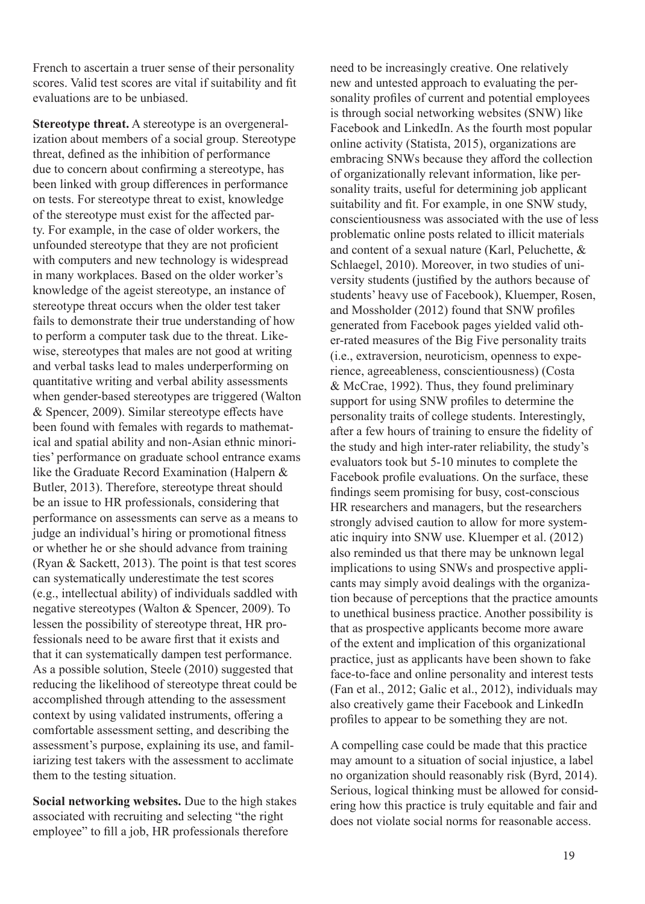French to ascertain a truer sense of their personality scores. Valid test scores are vital if suitability and fit evaluations are to be unbiased.

**Stereotype threat.** A stereotype is an overgeneralization about members of a social group. Stereotype threat, defined as the inhibition of performance due to concern about confirming a stereotype, has been linked with group differences in performance on tests. For stereotype threat to exist, knowledge of the stereotype must exist for the affected party. For example, in the case of older workers, the unfounded stereotype that they are not proficient with computers and new technology is widespread in many workplaces. Based on the older worker's knowledge of the ageist stereotype, an instance of stereotype threat occurs when the older test taker fails to demonstrate their true understanding of how to perform a computer task due to the threat. Likewise, stereotypes that males are not good at writing and verbal tasks lead to males underperforming on quantitative writing and verbal ability assessments when gender-based stereotypes are triggered (Walton & Spencer, 2009). Similar stereotype effects have been found with females with regards to mathematical and spatial ability and non-Asian ethnic minorities' performance on graduate school entrance exams like the Graduate Record Examination (Halpern & Butler, 2013). Therefore, stereotype threat should be an issue to HR professionals, considering that performance on assessments can serve as a means to judge an individual's hiring or promotional fitness or whether he or she should advance from training (Ryan & Sackett, 2013). The point is that test scores can systematically underestimate the test scores (e.g., intellectual ability) of individuals saddled with negative stereotypes (Walton & Spencer, 2009). To lessen the possibility of stereotype threat, HR professionals need to be aware first that it exists and that it can systematically dampen test performance. As a possible solution, Steele (2010) suggested that reducing the likelihood of stereotype threat could be accomplished through attending to the assessment context by using validated instruments, offering a comfortable assessment setting, and describing the assessment's purpose, explaining its use, and familiarizing test takers with the assessment to acclimate them to the testing situation.

**Social networking websites.** Due to the high stakes associated with recruiting and selecting "the right employee" to fill a job, HR professionals therefore

need to be increasingly creative. One relatively new and untested approach to evaluating the personality profiles of current and potential employees is through social networking websites (SNW) like Facebook and LinkedIn. As the fourth most popular online activity (Statista, 2015), organizations are embracing SNWs because they afford the collection of organizationally relevant information, like personality traits, useful for determining job applicant suitability and fit. For example, in one SNW study, conscientiousness was associated with the use of less problematic online posts related to illicit materials and content of a sexual nature (Karl, Peluchette, & Schlaegel, 2010). Moreover, in two studies of university students (justified by the authors because of students' heavy use of Facebook), Kluemper, Rosen, and Mossholder (2012) found that SNW profiles generated from Facebook pages yielded valid other-rated measures of the Big Five personality traits (i.e., extraversion, neuroticism, openness to experience, agreeableness, conscientiousness) (Costa & McCrae, 1992). Thus, they found preliminary support for using SNW profiles to determine the personality traits of college students. Interestingly, after a few hours of training to ensure the fidelity of the study and high inter-rater reliability, the study's evaluators took but 5-10 minutes to complete the Facebook profile evaluations. On the surface, these findings seem promising for busy, cost-conscious HR researchers and managers, but the researchers strongly advised caution to allow for more systematic inquiry into SNW use. Kluemper et al. (2012) also reminded us that there may be unknown legal implications to using SNWs and prospective applicants may simply avoid dealings with the organization because of perceptions that the practice amounts to unethical business practice. Another possibility is that as prospective applicants become more aware of the extent and implication of this organizational practice, just as applicants have been shown to fake face-to-face and online personality and interest tests (Fan et al., 2012; Galic et al., 2012), individuals may also creatively game their Facebook and LinkedIn profiles to appear to be something they are not.

A compelling case could be made that this practice may amount to a situation of social injustice, a label no organization should reasonably risk (Byrd, 2014). Serious, logical thinking must be allowed for considering how this practice is truly equitable and fair and does not violate social norms for reasonable access.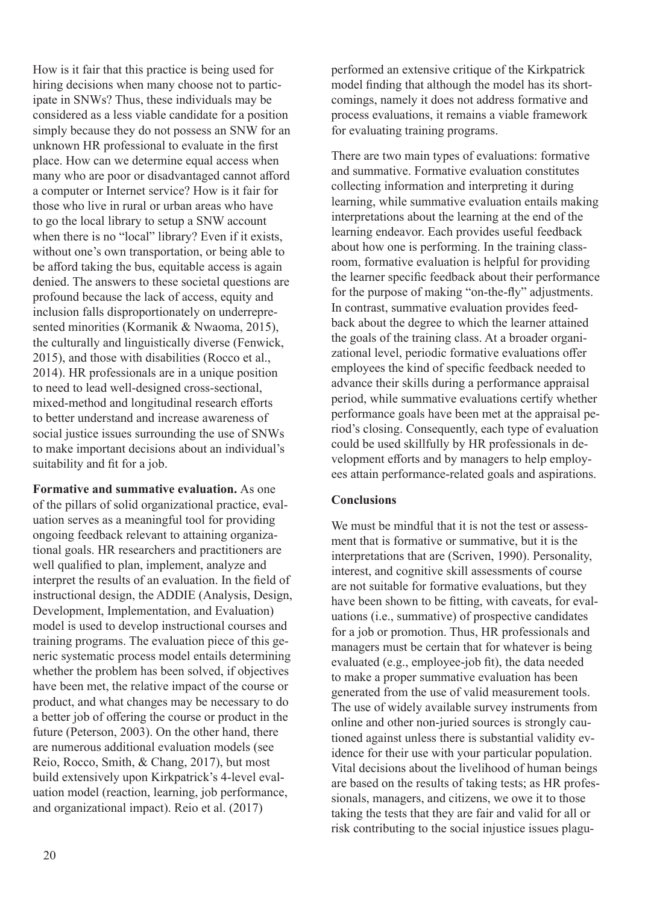How is it fair that this practice is being used for hiring decisions when many choose not to participate in SNWs? Thus, these individuals may be considered as a less viable candidate for a position simply because they do not possess an SNW for an unknown HR professional to evaluate in the first place. How can we determine equal access when many who are poor or disadvantaged cannot afford a computer or Internet service? How is it fair for those who live in rural or urban areas who have to go the local library to setup a SNW account when there is no "local" library? Even if it exists, without one's own transportation, or being able to be afford taking the bus, equitable access is again denied. The answers to these societal questions are profound because the lack of access, equity and inclusion falls disproportionately on underrepresented minorities (Kormanik & Nwaoma, 2015), the culturally and linguistically diverse (Fenwick, 2015), and those with disabilities (Rocco et al., 2014). HR professionals are in a unique position to need to lead well-designed cross-sectional, mixed-method and longitudinal research efforts to better understand and increase awareness of social justice issues surrounding the use of SNWs to make important decisions about an individual's suitability and fit for a job.

**Formative and summative evaluation.** As one of the pillars of solid organizational practice, evaluation serves as a meaningful tool for providing ongoing feedback relevant to attaining organizational goals. HR researchers and practitioners are well qualified to plan, implement, analyze and interpret the results of an evaluation. In the field of instructional design, the ADDIE (Analysis, Design, Development, Implementation, and Evaluation) model is used to develop instructional courses and training programs. The evaluation piece of this generic systematic process model entails determining whether the problem has been solved, if objectives have been met, the relative impact of the course or product, and what changes may be necessary to do a better job of offering the course or product in the future (Peterson, 2003). On the other hand, there are numerous additional evaluation models (see Reio, Rocco, Smith, & Chang, 2017), but most build extensively upon Kirkpatrick's 4-level evaluation model (reaction, learning, job performance, and organizational impact). Reio et al. (2017)

performed an extensive critique of the Kirkpatrick model finding that although the model has its shortcomings, namely it does not address formative and process evaluations, it remains a viable framework for evaluating training programs.

There are two main types of evaluations: formative and summative. Formative evaluation constitutes collecting information and interpreting it during learning, while summative evaluation entails making interpretations about the learning at the end of the learning endeavor. Each provides useful feedback about how one is performing. In the training classroom, formative evaluation is helpful for providing the learner specific feedback about their performance for the purpose of making "on-the-fly" adjustments. In contrast, summative evaluation provides feedback about the degree to which the learner attained the goals of the training class. At a broader organizational level, periodic formative evaluations offer employees the kind of specific feedback needed to advance their skills during a performance appraisal period, while summative evaluations certify whether performance goals have been met at the appraisal period's closing. Consequently, each type of evaluation could be used skillfully by HR professionals in development efforts and by managers to help employees attain performance-related goals and aspirations.

## **Conclusions**

We must be mindful that it is not the test or assessment that is formative or summative, but it is the interpretations that are (Scriven, 1990). Personality, interest, and cognitive skill assessments of course are not suitable for formative evaluations, but they have been shown to be fitting, with caveats, for evaluations (i.e., summative) of prospective candidates for a job or promotion. Thus, HR professionals and managers must be certain that for whatever is being evaluated (e.g., employee-job fit), the data needed to make a proper summative evaluation has been generated from the use of valid measurement tools. The use of widely available survey instruments from online and other non-juried sources is strongly cautioned against unless there is substantial validity evidence for their use with your particular population. Vital decisions about the livelihood of human beings are based on the results of taking tests; as HR professionals, managers, and citizens, we owe it to those taking the tests that they are fair and valid for all or risk contributing to the social injustice issues plagu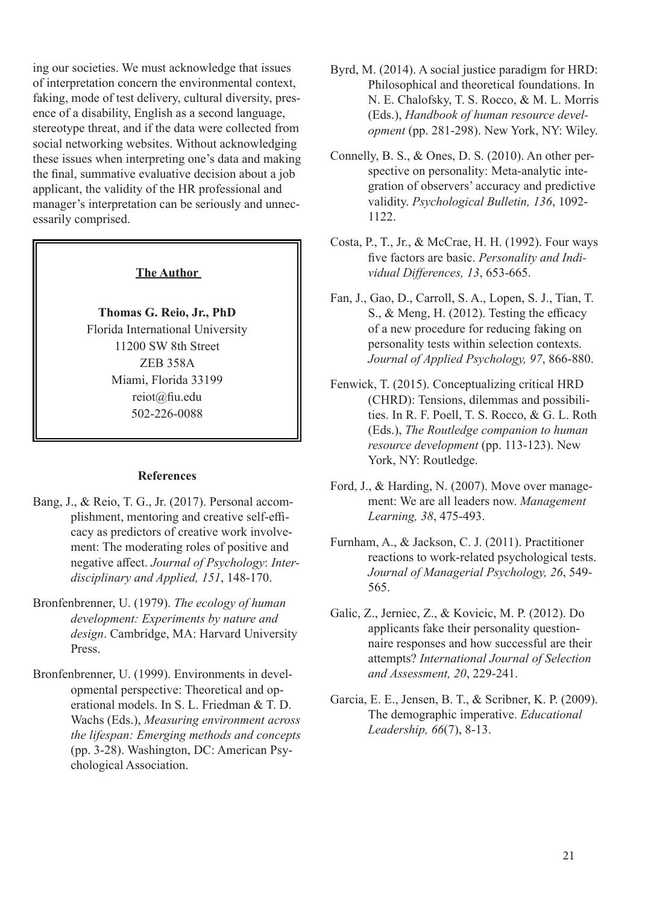ing our societies. We must acknowledge that issues of interpretation concern the environmental context, faking, mode of test delivery, cultural diversity, presence of a disability, English as a second language, stereotype threat, and if the data were collected from social networking websites. Without acknowledging these issues when interpreting one's data and making the final, summative evaluative decision about a job applicant, the validity of the HR professional and manager's interpretation can be seriously and unnecessarily comprised.

### **The Author**

## **Thomas G. Reio, Jr., PhD** Florida International University 11200 SW 8th Street ZEB 358A Miami, Florida 33199 reiot@fiu.edu 502-226-0088

#### **References**

- Bang, J., & Reio, T. G., Jr. (2017). Personal accomplishment, mentoring and creative self-efficacy as predictors of creative work involvement: The moderating roles of positive and negative affect. *Journal of Psychology*: *Interdisciplinary and Applied, 151*, 148-170.
- Bronfenbrenner, U. (1979). *The ecology of human development: Experiments by nature and design*. Cambridge, MA: Harvard University Press.
- Bronfenbrenner, U. (1999). Environments in developmental perspective: Theoretical and operational models. In S. L. Friedman & T. D. Wachs (Eds.), *Measuring environment across the lifespan: Emerging methods and concepts* (pp. 3-28). Washington, DC: American Psychological Association.
- Byrd, M. (2014). A social justice paradigm for HRD: Philosophical and theoretical foundations. In N. E. Chalofsky, T. S. Rocco, & M. L. Morris (Eds.), *Handbook of human resource development* (pp. 281-298). New York, NY: Wiley.
- Connelly, B. S., & Ones, D. S. (2010). An other perspective on personality: Meta-analytic integration of observers' accuracy and predictive validity. *Psychological Bulletin, 136*, 1092- 1122.
- Costa, P., T., Jr., & McCrae, H. H. (1992). Four ways five factors are basic. *Personality and Individual Differences, 13*, 653-665.
- Fan, J., Gao, D., Carroll, S. A., Lopen, S. J., Tian, T. S., & Meng, H. (2012). Testing the efficacy of a new procedure for reducing faking on personality tests within selection contexts. *Journal of Applied Psychology, 97*, 866-880.
- Fenwick, T. (2015). Conceptualizing critical HRD (CHRD): Tensions, dilemmas and possibilities. In R. F. Poell, T. S. Rocco, & G. L. Roth (Eds.), *The Routledge companion to human resource development* (pp. 113-123). New York, NY: Routledge.
- Ford, J., & Harding, N. (2007). Move over management: We are all leaders now. *Management Learning, 38*, 475-493.
- Furnham, A., & Jackson, C. J. (2011). Practitioner reactions to work-related psychological tests. *Journal of Managerial Psychology, 26*, 549- 565.
- Galic, Z., Jerniec, Z., & Kovicic, M. P. (2012). Do applicants fake their personality questionnaire responses and how successful are their attempts? *International Journal of Selection and Assessment, 20*, 229-241.
- Garcia, E. E., Jensen, B. T., & Scribner, K. P. (2009). The demographic imperative. *Educational Leadership, 66*(7), 8-13.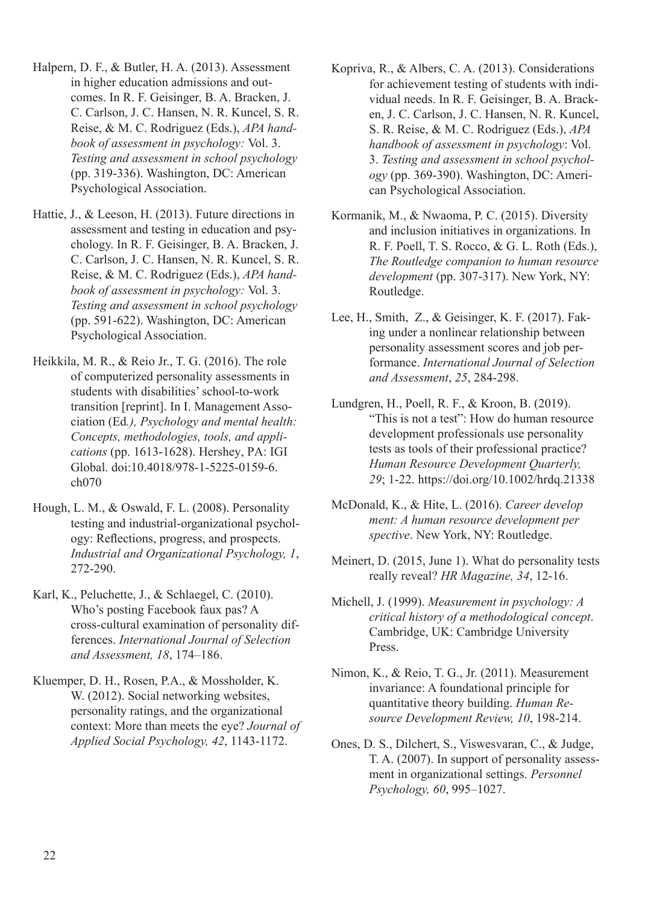- Halpern, D. F., & Butler, H. A. (2013). Assessment in higher education admissions and outcomes. In R. F. Geisinger, B. A. Bracken, J. C. Carlson, J. C. Hansen, N. R. Kuncel, S. R. Reise, & M. C. Rodriguez (Eds.), *APA handbook of assessment in psychology:* Vol. 3. *Testing and assessment in school psychology* (pp. 319-336). Washington, DC: American Psychological Association.
- Hattie, J., & Leeson, H. (2013). Future directions in assessment and testing in education and psychology. In R. F. Geisinger, B. A. Bracken, J. C. Carlson, J. C. Hansen, N. R. Kuncel, S. R. Reise, & M. C. Rodriguez (Eds.), *APA handbook of assessment in psychology:* Vol. 3. *Testing and assessment in school psychology* (pp. 591-622). Washington, DC: American Psychological Association.
- Heikkila, M. R., & Reio Jr., T. G. (2016). The role of computerized personality assessments in students with disabilities' school-to-work transition [reprint]. In I. Management Association (Ed*.), Psychology and mental health: Concepts, methodologies, tools, and applications* (pp. 1613-1628). Hershey, PA: IGI Global. doi:10.4018/978-1-5225-0159-6. ch070
- Hough, L. M., & Oswald, F. L. (2008). Personality testing and industrial-organizational psychology: Reflections, progress, and prospects. *Industrial and Organizational Psychology, 1*, 272-290.
- Karl, K., Peluchette, J., & Schlaegel, C. (2010). Who's posting Facebook faux pas? A cross-cultural examination of personality differences. *International Journal of Selection and Assessment, 18*, 174–186.
- Kluemper, D. H., Rosen, P.A., & Mossholder, K. W. (2012). Social networking websites, personality ratings, and the organizational context: More than meets the eye? *Journal of Applied Social Psychology, 42*, 1143-1172.
- Kopriva, R., & Albers, C. A. (2013). Considerations for achievement testing of students with individual needs. In R. F. Geisinger, B. A. Bracken, J. C. Carlson, J. C. Hansen, N. R. Kuncel, S. R. Reise, & M. C. Rodriguez (Eds.), *APA handbook of assessment in psychology*: Vol. 3. *Testing and assessment in school psychology* (pp. 369-390). Washington, DC: American Psychological Association.
- Kormanik, M., & Nwaoma, P. C. (2015). Diversity and inclusion initiatives in organizations. In R. F. Poell, T. S. Rocco, & G. L. Roth (Eds.), *The Routledge companion to human resource development* (pp. 307-317). New York, NY: Routledge.
- Lee, H., Smith, Z., & Geisinger, K. F. (2017). Faking under a nonlinear relationship between personality assessment scores and job performance. *International Journal of Selection and Assessment*, *25*, 284-298.
- Lundgren, H., Poell, R. F., & Kroon, B. (2019). "This is not a test": How do human resource development professionals use personality tests as tools of their professional practice? *Human Resource Development Quarterly, 29*; 1-22. https://doi.org/10.1002/hrdq.21338
- McDonald, K., & Hite, L. (2016). *Career develop ment: A human resource development per spective*. New York, NY: Routledge.
- Meinert, D. (2015, June 1). What do personality tests really reveal? *HR Magazine, 34*, 12-16.
- Michell, J. (1999). *Measurement in psychology: A critical history of a methodological concept*. Cambridge, UK: Cambridge University Press.
- Nimon, K., & Reio, T. G., Jr. (2011). Measurement invariance: A foundational principle for quantitative theory building. *Human Resource Development Review, 10*, 198-214.
- Ones, D. S., Dilchert, S., Viswesvaran, C., & Judge, T. A. (2007). In support of personality assessment in organizational settings. *Personnel Psychology, 60*, 995–1027.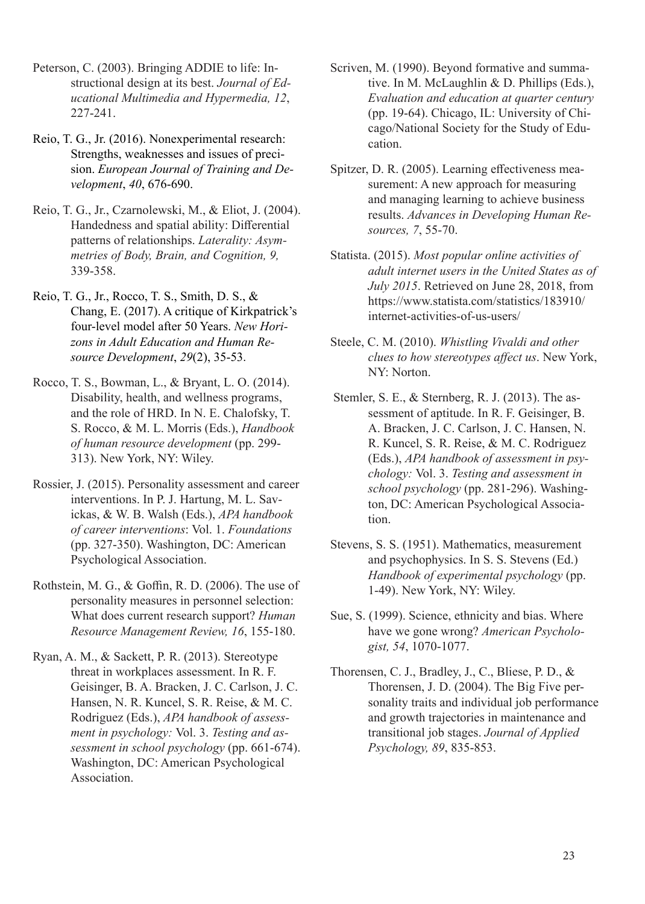- Peterson, C. (2003). Bringing ADDIE to life: Instructional design at its best. *Journal of Educational Multimedia and Hypermedia, 12*, 227-241.
- Reio, T. G., Jr. (2016). Nonexperimental research: Strengths, weaknesses and issues of precision. *European Journal of Training and Development*, *40*, 676-690.
- Reio, T. G., Jr., Czarnolewski, M., & Eliot, J. (2004). Handedness and spatial ability: Differential patterns of relationships. *Laterality: Asymmetries of Body, Brain, and Cognition, 9,* 339-358.
- Reio, T. G., Jr., Rocco, T. S., Smith, D. S., & Chang, E. (2017). A critique of Kirkpatrick's four-level model after 50 Years. *New Horizons in Adult Education and Human Resource Development*, *29*(2), 35-53.
- Rocco, T. S., Bowman, L., & Bryant, L. O. (2014). Disability, health, and wellness programs, and the role of HRD. In N. E. Chalofsky, T. S. Rocco, & M. L. Morris (Eds.), *Handbook of human resource development* (pp. 299- 313). New York, NY: Wiley.
- Rossier, J. (2015). Personality assessment and career interventions. In P. J. Hartung, M. L. Savickas, & W. B. Walsh (Eds.), *APA handbook of career interventions*: Vol. 1. *Foundations* (pp. 327-350). Washington, DC: American Psychological Association.
- Rothstein, M. G., & Goffin, R. D. (2006). The use of personality measures in personnel selection: What does current research support? *Human Resource Management Review, 16*, 155-180.
- Ryan, A. M., & Sackett, P. R. (2013). Stereotype threat in workplaces assessment. In R. F. Geisinger, B. A. Bracken, J. C. Carlson, J. C. Hansen, N. R. Kuncel, S. R. Reise, & M. C. Rodriguez (Eds.), *APA handbook of assessment in psychology:* Vol. 3. *Testing and assessment in school psychology* (pp. 661-674). Washington, DC: American Psychological Association.
- Scriven, M. (1990). Beyond formative and summative. In M. McLaughlin & D. Phillips (Eds.), *Evaluation and education at quarter century* (pp. 19-64). Chicago, IL: University of Chicago/National Society for the Study of Education.
- Spitzer, D. R. (2005). Learning effectiveness measurement: A new approach for measuring and managing learning to achieve business results. *Advances in Developing Human Resources, 7*, 55-70.
- Statista. (2015). *Most popular online activities of adult internet users in the United States as of July 2015*. Retrieved on June 28, 2018, from https://www.statista.com/statistics/183910/ internet-activities-of-us-users/
- Steele, C. M. (2010). *Whistling Vivaldi and other clues to how stereotypes affect us*. New York, NY: Norton.
- Stemler, S. E., & Sternberg, R. J. (2013). The assessment of aptitude. In R. F. Geisinger, B. A. Bracken, J. C. Carlson, J. C. Hansen, N. R. Kuncel, S. R. Reise, & M. C. Rodriguez (Eds.), *APA handbook of assessment in psychology:* Vol. 3. *Testing and assessment in school psychology* (pp. 281-296). Washington, DC: American Psychological Association.
- Stevens, S. S. (1951). Mathematics, measurement and psychophysics. In S. S. Stevens (Ed.) *Handbook of experimental psychology* (pp. 1-49). New York, NY: Wiley.
- Sue, S. (1999). Science, ethnicity and bias. Where have we gone wrong? *American Psychologist, 54*, 1070-1077.
- Thorensen, C. J., Bradley, J., C., Bliese, P. D., & Thorensen, J. D. (2004). The Big Five personality traits and individual job performance and growth trajectories in maintenance and transitional job stages. *Journal of Applied Psychology, 89*, 835-853.